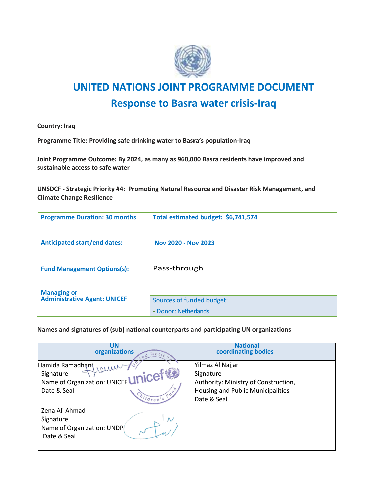

**Country: Iraq**

**Programme Title: Providing safe drinking water to Basra's population-Iraq**

**Joint Programme Outcome: By 2024, as many as 960,000 Basra residents have improved and sustainable access to safe water**

**UNSDCF - Strategic Priority #4: Promoting Natural Resource and Disaster Risk Management, and Climate Change Resilience**

| <b>Programme Duration: 30 months</b>                      | Total estimated budget: \$6,741,574               |
|-----------------------------------------------------------|---------------------------------------------------|
| <b>Anticipated start/end dates:</b>                       | <b>Nov 2020 - Nov 2023</b>                        |
| <b>Fund Management Options(s):</b>                        | Pass-through                                      |
| <b>Managing or</b><br><b>Administrative Agent: UNICEF</b> | Sources of funded budget:<br>• Donor: Netherlands |

**Names and signatures of (sub) national counterparts and participating UN organizations**

| UN<br>organizations<br>Natio<br>red                                                             | <b>National</b><br>coordinating bodies                                                                                    |
|-------------------------------------------------------------------------------------------------|---------------------------------------------------------------------------------------------------------------------------|
| Hamida Ramadhani<br>Signature<br>Name of Organization: UNICEFUNICET<br>Date & Seal<br>hildren's | Yilmaz Al Najjar<br>Signature<br>Authority: Ministry of Construction,<br>Housing and Public Municipalities<br>Date & Seal |
| Zena Ali Ahmad<br>Signature<br>Name of Organization: UNDP<br>Date & Seal                        |                                                                                                                           |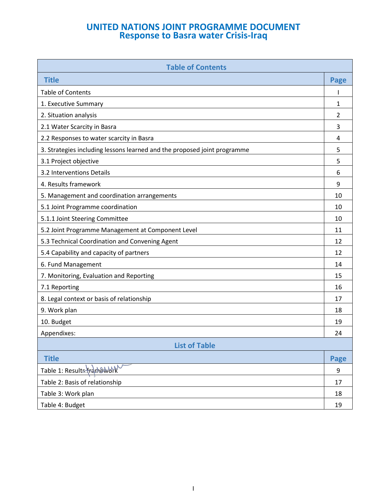| <b>Table of Contents</b>                                                 |             |
|--------------------------------------------------------------------------|-------------|
| <b>Title</b>                                                             | <b>Page</b> |
| <b>Table of Contents</b>                                                 |             |
| 1. Executive Summary                                                     | 1           |
| 2. Situation analysis                                                    | 2           |
| 2.1 Water Scarcity in Basra                                              | 3           |
| 2.2 Responses to water scarcity in Basra                                 | 4           |
| 3. Strategies including lessons learned and the proposed joint programme | 5           |
| 3.1 Project objective                                                    | 5           |
| 3.2 Interventions Details                                                | 6           |
| 4. Results framework                                                     | 9           |
| 5. Management and coordination arrangements                              | 10          |
| 5.1 Joint Programme coordination                                         | 10          |
| 5.1.1 Joint Steering Committee                                           | 10          |
| 5.2 Joint Programme Management at Component Level                        | 11          |
| 5.3 Technical Coordination and Convening Agent                           | 12          |
| 5.4 Capability and capacity of partners                                  | 12          |
| 6. Fund Management                                                       | 14          |
| 7. Monitoring, Evaluation and Reporting                                  | 15          |
| 7.1 Reporting                                                            | 16          |
| 8. Legal context or basis of relationship                                | 17          |
| 9. Work plan                                                             | 18          |
| 10. Budget                                                               | 19          |
| Appendixes:                                                              | 24          |
| <b>List of Table</b>                                                     |             |
| <b>Title</b>                                                             | <b>Page</b> |
| Table 1: Results Frankework                                              | 9           |
| Table 2: Basis of relationship                                           | 17          |
| Table 3: Work plan                                                       | 18          |
| Table 4: Budget                                                          | 19          |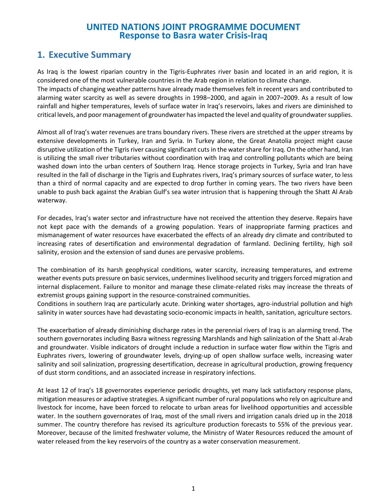## **1. Executive Summary**

As Iraq is the lowest riparian country in the Tigris-Euphrates river basin and located in an arid region, it is considered one of the most vulnerable countries in the Arab region in relation to climate change.

The impacts of changing weather patterns have already made themselves felt in recent years and contributed to alarming water scarcity as well as severe droughts in 1998–2000, and again in 2007–2009. As a result of low rainfall and higher temperatures, levels of surface water in Iraq's reservoirs, lakes and rivers are diminished to critical levels, and poor management of groundwater has impacted the level and quality of groundwater supplies.

Almost all of Iraq's water revenues are trans boundary rivers. These rivers are stretched at the upper streams by extensive developments in Turkey, Iran and Syria. In Turkey alone, the Great Anatolia project might cause disruptive utilization of the Tigris river causing significant cuts in the water share for Iraq. On the other hand, Iran is utilizing the small river tributaries without coordination with Iraq and controlling pollutants which are being washed down into the urban centers of Southern Iraq. Hence storage projects in Turkey, Syria and Iran have resulted in the fall of discharge in the Tigris and Euphrates rivers, Iraq's primary sources of surface water, to less than a third of normal capacity and are expected to drop further in coming years. The two rivers have been unable to push back against the Arabian Gulf's sea water intrusion that is happening through the Shatt Al Arab waterway.

For decades, Iraq's water sector and infrastructure have not received the attention they deserve. Repairs have not kept pace with the demands of a growing population. Years of inappropriate farming practices and mismanagement of water resources have exacerbated the effects of an already dry climate and contributed to increasing rates of desertification and environmental degradation of farmland. Declining fertility, high soil salinity, erosion and the extension of sand dunes are pervasive problems.

The combination of its harsh geophysical conditions, water scarcity, increasing temperatures, and extreme weather events puts pressure on basic services, undermines livelihood security and triggers forced migration and internal displacement. Failure to monitor and manage these climate-related risks may increase the threats of extremist groups gaining support in the resource-constrained communities.

Conditions in southern Iraq are particularly acute. Drinking water shortages, agro-industrial pollution and high salinity in water sources have had devastating socio-economic impacts in health, sanitation, agriculture sectors.

The exacerbation of already diminishing discharge rates in the perennial rivers of Iraq is an alarming trend. The southern governorates including Basra witness regressing Marshlands and high salinization of the Shatt al-Arab and groundwater. Visible indicators of drought include a reduction in surface water flow within the Tigris and Euphrates rivers, lowering of groundwater levels, drying-up of open shallow surface wells, increasing water salinity and soil salinization, progressing desertification, decrease in agricultural production, growing frequency of dust storm conditions, and an associated increase in respiratory infections.

At least 12 of Iraq's 18 governorates experience periodic droughts, yet many lack satisfactory response plans, mitigation measures or adaptive strategies. A significant number of rural populations who rely on agriculture and livestock for income, have been forced to relocate to urban areas for livelihood opportunities and accessible water. In the southern governorates of Iraq, most of the small rivers and irrigation canals dried up in the 2018 summer. The country therefore has revised its agriculture production forecasts to 55% of the previous year. Moreover, because of the limited freshwater volume, the Ministry of Water Resources reduced the amount of water released from the key reservoirs of the country as a water conservation measurement.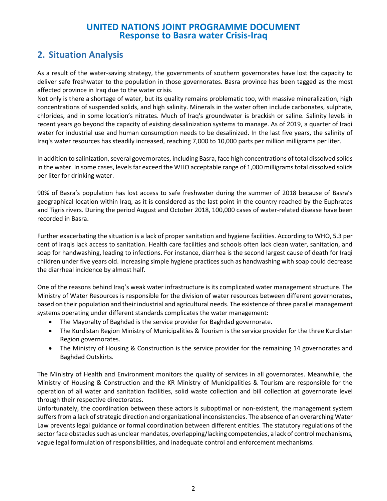# **2. Situation Analysis**

As a result of the water-saving strategy, the governments of southern governorates have lost the capacity to deliver safe freshwater to the population in those governorates. Basra province has been tagged as the most affected province in Iraq due to the water crisis.

Not only is there a shortage of water, but its quality remains problematic too, with massive mineralization, high concentrations of suspended solids, and high salinity. Minerals in the water often include carbonates, sulphate, chlorides, and in some location's nitrates. Much of Iraq's groundwater is brackish or saline. Salinity levels in recent years go beyond the capacity of existing desalinization systems to manage. As of 2019, a quarter of Iraqi water for industrial use and human consumption needs to be desalinized. In the last five years, the salinity of Iraq's water resources has steadily increased, reaching 7,000 to 10,000 parts per million milligrams per liter.

In addition to salinization, several governorates, including Basra, face high concentrations of total dissolved solids in the water. In some cases, levels far exceed the WHO acceptable range of 1,000 milligrams total dissolved solids per liter for drinking water.

90% of Basra's population has lost access to safe freshwater during the summer of 2018 because of Basra's geographical location within Iraq, as it is considered as the last point in the country reached by the Euphrates and Tigris rivers. During the period August and October 2018, 100,000 cases of water-related disease have been recorded in Basra.

Further exacerbating the situation is a lack of proper sanitation and hygiene facilities. According to WHO, 5.3 per cent of Iraqis lack access to sanitation. Health care facilities and schools often lack clean water, sanitation, and soap for handwashing, leading to infections. For instance, diarrhea is the second largest cause of death for Iraqi children under five years old. Increasing simple hygiene practices such as handwashing with soap could decrease the diarrheal incidence by almost half.

One of the reasons behind Iraq's weak water infrastructure is its complicated water management structure. The Ministry of Water Resources is responsible for the division of water resources between different governorates, based on their population and their industrial and agricultural needs. The existence of three parallel management systems operating under different standards complicates the water management:

- The Mayoralty of Baghdad is the service provider for Baghdad governorate.
- The Kurdistan Region Ministry of Municipalities & Tourism is the service provider for the three Kurdistan Region governorates.
- The Ministry of Housing & Construction is the service provider for the remaining 14 governorates and Baghdad Outskirts.

The Ministry of Health and Environment monitors the quality of services in all governorates. Meanwhile, the Ministry of Housing & Construction and the KR Ministry of Municipalities & Tourism are responsible for the operation of all water and sanitation facilities, solid waste collection and bill collection at governorate level through their respective directorates.

Unfortunately, the coordination between these actors is suboptimal or non-existent, the management system suffers from a lack of strategic direction and organizational inconsistencies. The absence of an overarching Water Law prevents legal guidance or formal coordination between different entities. The statutory regulations of the sector face obstacles such as unclear mandates, overlapping/lacking competencies, a lack of control mechanisms, vague legal formulation of responsibilities, and inadequate control and enforcement mechanisms.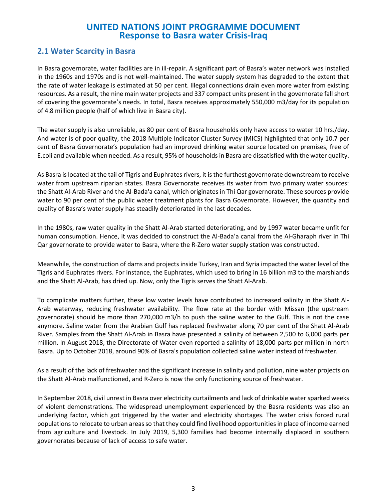#### **2.1 Water Scarcity in Basra**

In Basra governorate, water facilities are in ill-repair. A significant part of Basra's water network was installed in the 1960s and 1970s and is not well-maintained. The water supply system has degraded to the extent that the rate of water leakage is estimated at 50 per cent. Illegal connections drain even more water from existing resources. As a result, the nine main water projects and 337 compact units present in the governorate fall short of covering the governorate's needs. In total, Basra receives approximately 550,000 m3/day for its population of 4.8 million people (half of which live in Basra city).

The water supply is also unreliable, as 80 per cent of Basra households only have access to water 10 hrs./day. And water is of poor quality, the 2018 Multiple Indicator Cluster Survey (MICS) highlighted that only 10.7 per cent of Basra Governorate's population had an improved drinking water source located on premises, free of E.coli and available when needed. As a result, 95% of households in Basra are dissatisfied with the water quality.

As Basra is located at the tail of Tigris and Euphrates rivers, it is the furthest governorate downstream to receive water from upstream riparian states. Basra Governorate receives its water from two primary water sources: the Shatt Al-Arab River and the Al-Bada'a canal, which originates in Thi Qar governorate. These sources provide water to 90 per cent of the public water treatment plants for Basra Governorate. However, the quantity and quality of Basra's water supply has steadily deteriorated in the last decades.

In the 1980s, raw water quality in the Shatt Al-Arab started deteriorating, and by 1997 water became unfit for human consumption. Hence, it was decided to construct the Al-Bada'a canal from the Al-Gharaph river in Thi Qar governorate to provide water to Basra, where the R-Zero water supply station was constructed.

Meanwhile, the construction of dams and projects inside Turkey, Iran and Syria impacted the water level of the Tigris and Euphrates rivers. For instance, the Euphrates, which used to bring in 16 billion m3 to the marshlands and the Shatt Al-Arab, has dried up. Now, only the Tigris serves the Shatt Al-Arab.

To complicate matters further, these low water levels have contributed to increased salinity in the Shatt Al-Arab waterway, reducing freshwater availability. The flow rate at the border with Missan (the upstream governorate) should be more than 270,000 m3/h to push the saline water to the Gulf. This is not the case anymore. Saline water from the Arabian Gulf has replaced freshwater along 70 per cent of the Shatt Al-Arab River. Samples from the Shatt Al-Arab in Basra have presented a salinity of between 2,500 to 6,000 parts per million. In August 2018, the Directorate of Water even reported a salinity of 18,000 parts per million in north Basra. Up to October 2018, around 90% of Basra's population collected saline water instead of freshwater.

As a result of the lack of freshwater and the significant increase in salinity and pollution, nine water projects on the Shatt Al-Arab malfunctioned, and R-Zero is now the only functioning source of freshwater.

In September 2018, civil unrest in Basra over electricity curtailments and lack of drinkable water sparked weeks of violent demonstrations. The widespread unemployment experienced by the Basra residents was also an underlying factor, which got triggered by the water and electricity shortages. The water crisis forced rural populations to relocate to urban areas so that they could find livelihood opportunities in place of income earned from agriculture and livestock. In July 2019, 5,300 families had become internally displaced in southern governorates because of lack of access to safe water.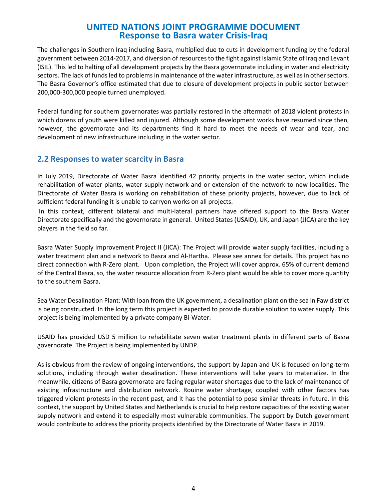The challenges in Southern Iraq including Basra, multiplied due to cuts in development funding by the federal government between 2014-2017, and diversion of resources to the fight against Islamic State of Iraq and Levant (ISIL). This led to halting of all development projects by the Basra governorate including in water and electricity sectors. The lack of funds led to problems in maintenance of the water infrastructure, as well as in other sectors. The Basra Governor's office estimated that due to closure of development projects in public sector between 200,000-300,000 people turned unemployed.

Federal funding for southern governorates was partially restored in the aftermath of 2018 violent protests in which dozens of youth were killed and injured. Although some development works have resumed since then, however, the governorate and its departments find it hard to meet the needs of wear and tear, and development of new infrastructure including in the water sector.

#### **2.2 Responses to water scarcity in Basra**

In July 2019, Directorate of Water Basra identified 42 priority projects in the water sector, which include rehabilitation of water plants, water supply network and or extension of the network to new localities. The Directorate of Water Basra is working on rehabilitation of these priority projects, however, due to lack of sufficient federal funding it is unable to carryon works on all projects.

In this context, different bilateral and multi-lateral partners have offered support to the Basra Water Directorate specifically and the governorate in general. United States (USAID), UK, and Japan (JICA) are the key players in the field so far.

Basra Water Supply Improvement Project II (JICA): The Project will provide water supply facilities, including a water treatment plan and a network to Basra and Al-Hartha. Please see annex for details. This project has no direct connection with R-Zero plant. Upon completion, the Project will cover approx. 65% of current demand of the Central Basra, so, the water resource allocation from R-Zero plant would be able to cover more quantity to the southern Basra.

Sea Water Desalination Plant: With loan from the UK government, a desalination plant on the sea in Faw district is being constructed. In the long term this project is expected to provide durable solution to water supply. This project is being implemented by a private company Bi-Water.

USAID has provided USD 5 million to rehabilitate seven water treatment plants in different parts of Basra governorate. The Project is being implemented by UNDP.

As is obvious from the review of ongoing interventions, the support by Japan and UK is focused on long-term solutions, including through water desalination. These interventions will take years to materialize. In the meanwhile, citizens of Basra governorate are facing regular water shortages due to the lack of maintenance of existing infrastructure and distribution network. Rouine water shortage, coupled with other factors has triggered violent protests in the recent past, and it has the potential to pose similar threats in future. In this context, the support by United States and Netherlands is crucial to help restore capacities of the existing water supply network and extend it to especially most vulnerable communities. The support by Dutch government would contribute to address the priority projects identified by the Directorate of Water Basra in 2019.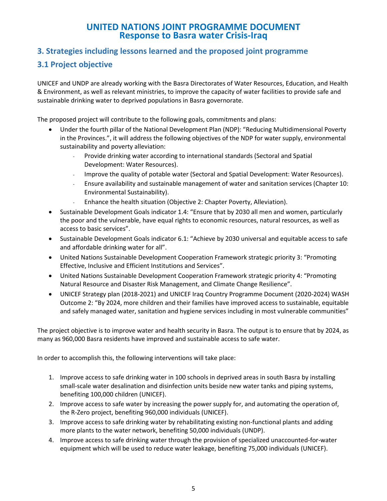#### **3. Strategies including lessons learned and the proposed joint programme**

### **3.1 Project objective**

UNICEF and UNDP are already working with the Basra Directorates of Water Resources, Education, and Health & Environment, as well as relevant ministries, to improve the capacity of water facilities to provide safe and sustainable drinking water to deprived populations in Basra governorate.

The proposed project will contribute to the following goals, commitments and plans:

- Under the fourth pillar of the National Development Plan (NDP): "Reducing Multidimensional Poverty in the Provinces.", it will address the following objectives of the NDP for water supply, environmental sustainability and poverty alleviation:
	- Provide drinking water according to international standards (Sectoral and Spatial Development: Water Resources).
	- Improve the quality of potable water (Sectoral and Spatial Development: Water Resources).
	- Ensure availability and sustainable management of water and sanitation services (Chapter 10: Environmental Sustainability).
	- Enhance the health situation (Objective 2: Chapter Poverty, Alleviation).
- Sustainable Development Goals indicator 1.4: "Ensure that by 2030 all men and women, particularly the poor and the vulnerable, have equal rights to economic resources, natural resources, as well as access to basic services".
- Sustainable Development Goals indicator 6.1: "Achieve by 2030 universal and equitable access to safe and affordable drinking water for all".
- United Nations Sustainable Development Cooperation Framework strategic priority 3: "Promoting Effective, Inclusive and Efficient Institutions and Services".
- United Nations Sustainable Development Cooperation Framework strategic priority 4: "Promoting Natural Resource and Disaster Risk Management, and Climate Change Resilience".
- UNICEF Strategy plan (2018-2021) and UNICEF Iraq Country Programme Document (2020-2024) WASH Outcome 2: "By 2024, more children and their families have improved access to sustainable, equitable and safely managed water, sanitation and hygiene services including in most vulnerable communities"

The project objective is to improve water and health security in Basra. The output is to ensure that by 2024, as many as 960,000 Basra residents have improved and sustainable access to safe water.

In order to accomplish this, the following interventions will take place:

- 1. Improve access to safe drinking water in 100 schools in deprived areas in south Basra by installing small-scale water desalination and disinfection units beside new water tanks and piping systems, benefiting 100,000 children (UNICEF).
- 2. Improve access to safe water by increasing the power supply for, and automating the operation of, the R-Zero project, benefiting 960,000 individuals (UNICEF).
- 3. Improve access to safe drinking water by rehabilitating existing non-functional plants and adding more plants to the water network, benefiting 50,000 individuals (UNDP).
- 4. Improve access to safe drinking water through the provision of specialized unaccounted-for-water equipment which will be used to reduce water leakage, benefiting 75,000 individuals (UNICEF).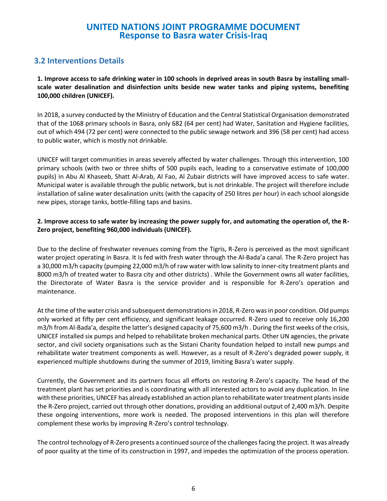### **3.2 Interventions Details**

**1. Improve access to safe drinking water in 100 schools in deprived areas in south Basra by installing smallscale water desalination and disinfection units beside new water tanks and piping systems, benefiting 100,000 children (UNICEF).**

In 2018, a survey conducted by the Ministry of Education and the Central Statistical Organisation demonstrated that of the 1068 primary schools in Basra, only 682 (64 per cent) had Water, Sanitation and Hygiene facilities, out of which 494 (72 per cent) were connected to the public sewage network and 396 (58 per cent) had access to public water, which is mostly not drinkable.

UNICEF will target communities in areas severely affected by water challenges. Through this intervention, 100 primary schools (with two or three shifts of 500 pupils each, leading to a conservative estimate of 100,000 pupils) in Abu Al Khaseeb, Shatt Al-Arab, Al Fao, Al Zubair districts will have improved access to safe water. Municipal water is available through the public network, but is not drinkable. The project will therefore include installation of saline water desalination units (with the capacity of 250 litres per hour) in each school alongside new pipes, storage tanks, bottle-filling taps and basins.

#### **2. Improve access to safe water by increasing the power supply for, and automating the operation of, the R-Zero project, benefiting 960,000 individuals (UNICEF).**

Due to the decline of freshwater revenues coming from the Tigris, R-Zero is perceived as the most significant water project operating in Basra. It is fed with fresh water through the Al-Bada'a canal. The R-Zero project has a 30,000 m3/h capacity (pumping 22,000 m3/h of raw water with low salinity to inner-city treatment plants and 8000 m3/h of treated water to Basra city and other districts) . While the Government owns all water facilities, the Directorate of Water Basra is the service provider and is responsible for R-Zero's operation and maintenance.

At the time of the water crisis and subsequent demonstrations in 2018, R-Zero was in poor condition. Old pumps only worked at fifty per cent efficiency, and significant leakage occurred. R-Zero used to receive only 16,200 m3/h from Al-Bada'a, despite the latter's designed capacity of 75,600 m3/h . During the first weeks of the crisis, UNICEF installed six pumps and helped to rehabilitate broken mechanical parts. Other UN agencies, the private sector, and civil society organisations such as the Sistani Charity foundation helped to install new pumps and rehabilitate water treatment components as well. However, as a result of R-Zero's degraded power supply, it experienced multiple shutdowns during the summer of 2019, limiting Basra's water supply.

Currently, the Government and its partners focus all efforts on restoring R-Zero's capacity. The head of the treatment plant has set priorities and is coordinating with all interested actors to avoid any duplication. In line with these priorities, UNICEF has already established an action plan to rehabilitate water treatment plants inside the R-Zero project, carried out through other donations, providing an additional output of 2,400 m3/h. Despite these ongoing interventions, more work is needed. The proposed interventions in this plan will therefore complement these works by improving R-Zero's control technology.

The control technology of R-Zero presents a continued source of the challenges facing the project. It was already of poor quality at the time of its construction in 1997, and impedes the optimization of the process operation.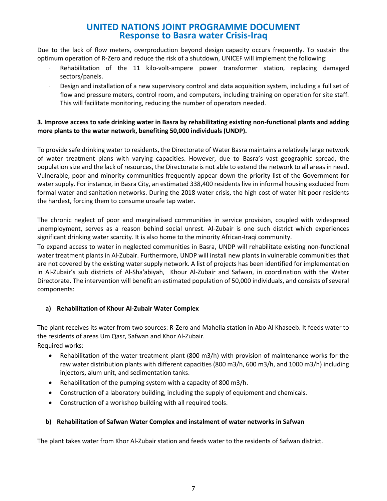Due to the lack of flow meters, overproduction beyond design capacity occurs frequently. To sustain the optimum operation of R-Zero and reduce the risk of a shutdown, UNICEF will implement the following:

- Rehabilitation of the 11 kilo-volt-ampere power transformer station, replacing damaged sectors/panels.
- Design and installation of a new supervisory control and data acquisition system, including a full set of flow and pressure meters, control room, and computers, including training on operation for site staff. This will facilitate monitoring, reducing the number of operators needed.

#### **3. Improve access to safe drinking water in Basra by rehabilitating existing non-functional plants and adding more plants to the water network, benefiting 50,000 individuals (UNDP).**

To provide safe drinking water to residents, the Directorate of Water Basra maintains a relatively large network of water treatment plans with varying capacities. However, due to Basra's vast geographic spread, the population size and the lack of resources, the Directorate is not able to extend the network to all areas in need. Vulnerable, poor and minority communities frequently appear down the priority list of the Government for water supply. For instance, in Basra City, an estimated 338,400 residents live in informal housing excluded from formal water and sanitation networks. During the 2018 water crisis, the high cost of water hit poor residents the hardest, forcing them to consume unsafe tap water.

The chronic neglect of poor and marginalised communities in service provision, coupled with widespread unemployment, serves as a reason behind social unrest. Al-Zubair is one such district which experiences significant drinking water scarcity. It is also home to the minority African-Iraqi community.

To expand access to water in neglected communities in Basra, UNDP will rehabilitate existing non-functional water treatment plants in Al-Zubair. Furthermore, UNDP will install new plants in vulnerable communities that are not covered by the existing water supply network. A list of projects has been identified for implementation in Al-Zubair's sub districts of Al-Sha'abiyah, Khour Al-Zubair and Safwan, in coordination with the Water Directorate. The intervention will benefit an estimated population of 50,000 individuals, and consists of several components:

#### **a) Rehabilitation of Khour Al-Zubair Water Complex**

The plant receives its water from two sources: R-Zero and Mahella station in Abo Al Khaseeb. It feeds water to the residents of areas Um Qasr, Safwan and Khor Al-Zubair.

Required works:

- Rehabilitation of the water treatment plant (800 m3/h) with provision of maintenance works for the raw water distribution plants with different capacities (800 m3/h, 600 m3/h, and 1000 m3/h) including injectors, alum unit, and sedimentation tanks.
- Rehabilitation of the pumping system with a capacity of 800 m3/h.
- Construction of a laboratory building, including the supply of equipment and chemicals.
- Construction of a workshop building with all required tools.

#### **b) Rehabilitation of Safwan Water Complex and instalment of water networks in Safwan**

The plant takes water from Khor Al-Zubair station and feeds water to the residents of Safwan district.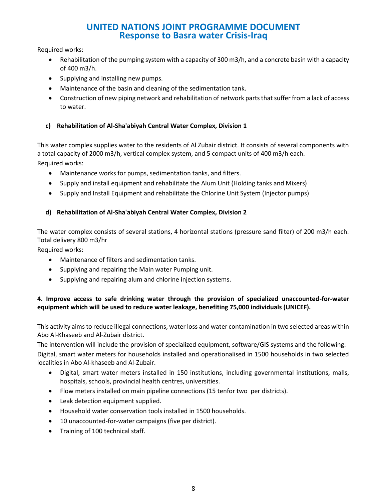Required works:

- Rehabilitation of the pumping system with a capacity of 300 m3/h, and a concrete basin with a capacity of 400 m3/h.
- Supplying and installing new pumps.
- Maintenance of the basin and cleaning of the sedimentation tank.
- Construction of new piping network and rehabilitation of network parts that suffer from a lack of access to water.

#### **c) Rehabilitation of Al-Sha'abiyah Central Water Complex, Division 1**

This water complex supplies water to the residents of Al Zubair district. It consists of several components with a total capacity of 2000 m3/h, vertical complex system, and 5 compact units of 400 m3/h each. Required works:

- Maintenance works for pumps, sedimentation tanks, and filters.
- Supply and install equipment and rehabilitate the Alum Unit (Holding tanks and Mixers)
- Supply and Install Equipment and rehabilitate the Chlorine Unit System (Injector pumps)

#### **d) Rehabilitation of Al-Sha'abiyah Central Water Complex, Division 2**

The water complex consists of several stations, 4 horizontal stations (pressure sand filter) of 200 m3/h each. Total delivery 800 m3/hr

Required works:

- Maintenance of filters and sedimentation tanks.
- Supplying and repairing the Main water Pumping unit.
- Supplying and repairing alum and chlorine injection systems.

#### **4. Improve access to safe drinking water through the provision of specialized unaccounted-for-water equipment which will be used to reduce water leakage, benefiting 75,000 individuals (UNICEF).**

This activity aims to reduce illegal connections, water loss and water contamination in two selected areas within Abo Al-Khaseeb and Al-Zubair district.

The intervention will include the provision of specialized equipment, software/GIS systems and the following: Digital, smart water meters for households installed and operationalised in 1500 households in two selected localities in Abo Al-khaseeb and Al-Zubair.

- Digital, smart water meters installed in 150 institutions, including governmental institutions, malls, hospitals, schools, provincial health centres, universities.
- Flow meters installed on main pipeline connections (15 tenfor two per districts).
- Leak detection equipment supplied.
- Household water conservation tools installed in 1500 households.
- 10 unaccounted-for-water campaigns (five per district).
- Training of 100 technical staff.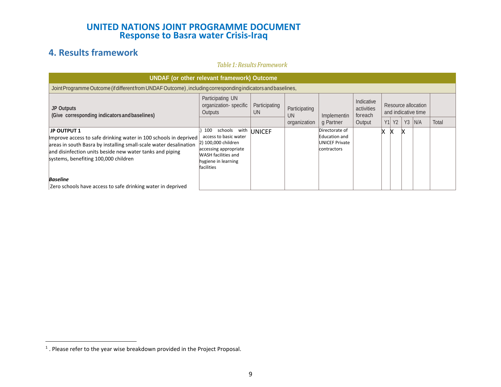# **4. Results framework**

#### *Table1:Results Framework*

| <b>UNDAF</b> (or other relevant framework) Outcome                                                                                                                                                                                                              |                                                                                                                                                             |                     |                            |                                                                         |                                     |                                            |           |                |     |       |
|-----------------------------------------------------------------------------------------------------------------------------------------------------------------------------------------------------------------------------------------------------------------|-------------------------------------------------------------------------------------------------------------------------------------------------------------|---------------------|----------------------------|-------------------------------------------------------------------------|-------------------------------------|--------------------------------------------|-----------|----------------|-----|-------|
| Joint Programme Outcome (if different from UNDAF Outcome), including corresponding indicators and baselines,                                                                                                                                                    |                                                                                                                                                             |                     |                            |                                                                         |                                     |                                            |           |                |     |       |
| <b>JP Outputs</b><br>(Give corresponding indicators and baselines)                                                                                                                                                                                              | Participating UN<br>organization-specific<br>Outputs                                                                                                        | Participating<br>UN | Participating<br><b>UN</b> | Implementin                                                             | Indicative<br>activities<br>foreach | Resource allocation<br>and indicative time |           |                |     |       |
|                                                                                                                                                                                                                                                                 |                                                                                                                                                             |                     | organization               | g Partner                                                               | Output                              | Y1                                         | <b>Y2</b> | Y <sub>3</sub> | N/A | Total |
| <b>JP OUTPUT 1</b><br>Improve access to safe drinking water in 100 schools in deprived<br>areas in south Basra by installing small-scale water desalination<br>and disinfection units beside new water tanks and piping<br>systems, benefiting 100,000 children | 100<br>schools<br>with<br>access to basic water<br>2) 100,000 children<br>accessing appropriate<br>WASH facilities and<br>hygiene in learning<br>facilities | <b>UNICEF</b>       |                            | Directorate of<br><b>Education and</b><br>UNICEF Private<br>contractors |                                     |                                            | х         | x              |     |       |
| <b>Baseline</b><br>Zero schools have access to safe drinking water in deprived                                                                                                                                                                                  |                                                                                                                                                             |                     |                            |                                                                         |                                     |                                            |           |                |     |       |

 $<sup>1</sup>$ . Please refer to the year wise breakdown provided in the Project Proposal.</sup>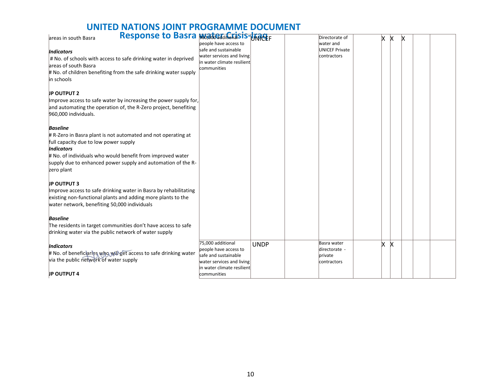# **UNITED NATIONS JOINT PROGRAMME DOCUMENT**

| Response to Basra Montgale Crisis-Unnetr                          |                                  |                       |   |   |   |  |
|-------------------------------------------------------------------|----------------------------------|-----------------------|---|---|---|--|
| areas in south Basra                                              |                                  | Directorate of        | x | X | x |  |
|                                                                   | people have access to            | water and             |   |   |   |  |
| <b>Indicators</b>                                                 | safe and sustainable             | <b>UNICEF Private</b> |   |   |   |  |
| # No. of schools with access to safe drinking water in deprived   | water services and living        | contractors           |   |   |   |  |
| areas of south Basra                                              | in water climate resilient       |                       |   |   |   |  |
| # No. of children benefiting from the safe drinking water supply  | communities                      |                       |   |   |   |  |
|                                                                   |                                  |                       |   |   |   |  |
| in schools                                                        |                                  |                       |   |   |   |  |
|                                                                   |                                  |                       |   |   |   |  |
| <b>JP OUTPUT 2</b>                                                |                                  |                       |   |   |   |  |
| Improve access to safe water by increasing the power supply for,  |                                  |                       |   |   |   |  |
| and automating the operation of, the R-Zero project, benefiting   |                                  |                       |   |   |   |  |
| 960,000 individuals.                                              |                                  |                       |   |   |   |  |
|                                                                   |                                  |                       |   |   |   |  |
| <b>Baseline</b>                                                   |                                  |                       |   |   |   |  |
| # R-Zero in Basra plant is not automated and not operating at     |                                  |                       |   |   |   |  |
| full capacity due to low power supply                             |                                  |                       |   |   |   |  |
| <b>Indicators</b>                                                 |                                  |                       |   |   |   |  |
|                                                                   |                                  |                       |   |   |   |  |
| # No. of individuals who would benefit from improved water        |                                  |                       |   |   |   |  |
| supply due to enhanced power supply and automation of the R-      |                                  |                       |   |   |   |  |
| zero plant                                                        |                                  |                       |   |   |   |  |
|                                                                   |                                  |                       |   |   |   |  |
| <b>JP OUTPUT 3</b>                                                |                                  |                       |   |   |   |  |
| Improve access to safe drinking water in Basra by rehabilitating  |                                  |                       |   |   |   |  |
| existing non-functional plants and adding more plants to the      |                                  |                       |   |   |   |  |
| water network, benefiting 50,000 individuals                      |                                  |                       |   |   |   |  |
|                                                                   |                                  |                       |   |   |   |  |
| <b>Baseline</b>                                                   |                                  |                       |   |   |   |  |
| The residents in target communities don't have access to safe     |                                  |                       |   |   |   |  |
| drinking water via the public network of water supply             |                                  |                       |   |   |   |  |
|                                                                   |                                  |                       |   |   |   |  |
| <b>Indicators</b>                                                 | 75,000 additional<br><b>UNDP</b> | Basra water           | x | X |   |  |
|                                                                   | people have access to            | directorate -         |   |   |   |  |
| # No. of beneficiaries who will get access to safe drinking water | safe and sustainable             | private               |   |   |   |  |
| via the public network of water supply                            | water services and living        | contractors           |   |   |   |  |
|                                                                   | in water climate resilient       |                       |   |   |   |  |
| <b>JP OUTPUT 4</b>                                                | communities                      |                       |   |   |   |  |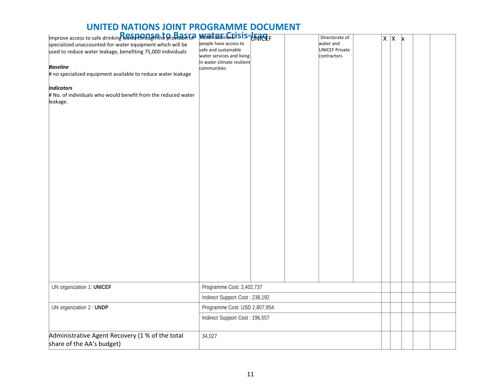| Improve access to safe drinking <b>Rate PLAMa and to Bala Ca</b><br>specialized unaccounted-for-water equipment which will be<br>used to reduce water leakage, benefiting 75,000 individuals<br><b>Baseline</b><br># no specialized equipment available to reduce water leakage<br><b>Indicators</b><br># No. of individuals who would benefit from the reduced water<br>leakage. | <b>50/00d additional is is-UKACEF</b><br>people have access to<br>safe and sustainable<br>water services and living<br>in water climate resilient<br>communities |  |  | Directorate of<br>water and<br><b>UNICEF Private</b><br>contractors |  |  | $X \mid X \mid x$ |  |  |
|-----------------------------------------------------------------------------------------------------------------------------------------------------------------------------------------------------------------------------------------------------------------------------------------------------------------------------------------------------------------------------------|------------------------------------------------------------------------------------------------------------------------------------------------------------------|--|--|---------------------------------------------------------------------|--|--|-------------------|--|--|
| UN organization 1: UNICEF                                                                                                                                                                                                                                                                                                                                                         | Programme Cost: 3,402,737                                                                                                                                        |  |  |                                                                     |  |  |                   |  |  |
|                                                                                                                                                                                                                                                                                                                                                                                   | Indirect Support Cost: 238,192                                                                                                                                   |  |  |                                                                     |  |  |                   |  |  |
| UN organization 2 : UNDP                                                                                                                                                                                                                                                                                                                                                          | Programme Cost: USD 2,807,954                                                                                                                                    |  |  |                                                                     |  |  |                   |  |  |
|                                                                                                                                                                                                                                                                                                                                                                                   | Indirect Support Cost: 196,557                                                                                                                                   |  |  |                                                                     |  |  |                   |  |  |
| Administrative Agent Recovery (1 % of the total<br>share of the AA's budget)                                                                                                                                                                                                                                                                                                      | 34,027                                                                                                                                                           |  |  |                                                                     |  |  |                   |  |  |

# **UNITED NATIONS JOINT PROGRAMME DOCUMENT**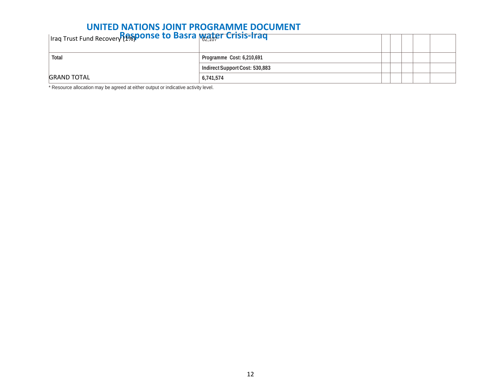## **UNITED NATIONS JOINT PROGRAMME DOCUMENT**

| Iraq Trust Fund Recovery Pasponse to Basra water Crisis-Iraq |                                |  |  |
|--------------------------------------------------------------|--------------------------------|--|--|
| <b>Total</b>                                                 | Programme Cost: 6,210,691      |  |  |
|                                                              | Indirect Support Cost: 530,883 |  |  |
| <b>GRAND TOTAL</b>                                           | 6,741,574                      |  |  |

\* Resource allocation may be agreed at either output or indicative activity level.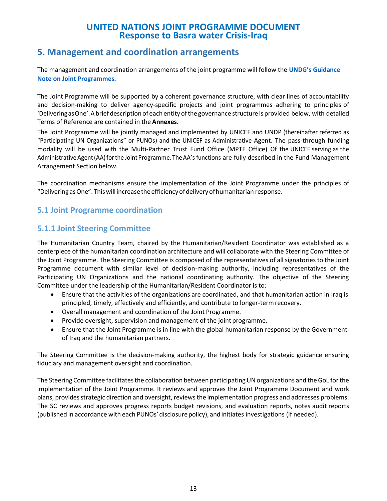### **5. Management and coordination arrangements**

The management and coordination arrangements of the joint programme will follow the **[UNDG's](https://undg.org/wp-content/uploads/2015/02/Guidance-Note-on-Joint-Programmes.pdf) [Guidance](https://undg.org/wp-content/uploads/2015/02/Guidance-Note-on-Joint-Programmes.pdf)  [Note on Joint Programmes.](https://undg.org/wp-content/uploads/2015/02/Guidance-Note-on-Joint-Programmes.pdf)**

The Joint Programme will be supported by a coherent governance structure, with clear lines of accountability and decision-making to deliver agency-specific projects and joint programmes adhering to principles of 'DeliveringasOne'.Abrief descriptionof eachentity ofthe governance structure is provided below, with detailed Terms of Reference are contained in the **Annexes.**

The Joint Programme will be jointly managed and implemented by UNICEF and UNDP (thereinafter referred as "Participating UN Organizations" or PUNOs) and the UNICEF as Administrative Agent. The pass-through funding modality will be used with the Multi-Partner Trust Fund Office (MPTF Office) Of the UNICEF serving as the Administrative Agent (AA) for the Joint Programme. The AA's functions are fully described in the Fund Management Arrangement Section below.

The coordination mechanisms ensure the implementation of the Joint Programme under the principles of "DeliveringasOne".Thiswill increase theefficiencyofdeliveryofhumanitarian response.

### **5.1 Joint Programme coordination**

### **5.1.1 Joint Steering Committee**

The Humanitarian Country Team, chaired by the Humanitarian/Resident Coordinator was established as a centerpiece of the humanitarian coordination architecture and will collaborate with the Steering Committee of the Joint Programme. The Steering Committee is composed of the representatives of all signatories to the Joint Programme document with similar level of decision-making authority, including representatives of the Participating UN Organizations and the national coordinating authority. The objective of the Steering Committee under the leadership of the Humanitarian/Resident Coordinator is to:

- Ensure that the activities of the organizations are coordinated, and that humanitarian action in Iraq is principled, timely, effectively and efficiently, and contribute to longer-termrecovery.
- Overall management and coordination of the Joint Programme.
- Provide oversight, supervision and management of the joint programme.
- Ensure that the Joint Programme is in line with the global humanitarian response by the Government of Iraq and the humanitarian partners.

The Steering Committee is the decision-making authority, the highest body for strategic guidance ensuring fiduciary and management oversight and coordination.

The Steering Committee facilitates the collaboration between participating UN organizations and the GoL for the implementation of the Joint Programme. It reviews and approves the Joint Programme Document and work plans, provides strategic direction and oversight, reviews the implementation progress and addresses problems. The SC reviews and approves progress reports budget revisions, and evaluation reports, notes audit reports (published in accordance with each PUNOs' disclosure policy), and initiates investigations (if needed).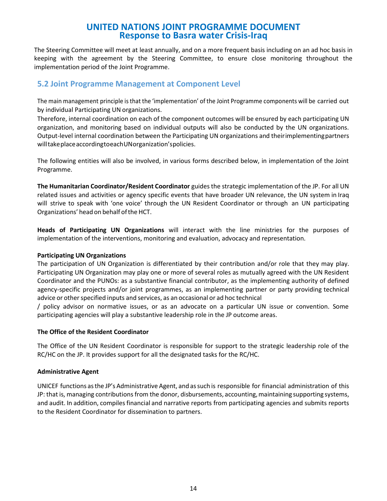The Steering Committee will meet at least annually, and on a more frequent basis including on an ad hoc basis in keeping with the agreement by the Steering Committee, to ensure close monitoring throughout the implementation period of the Joint Programme.

#### **5.2 Joint Programme Management at Component Level**

The main management principle isthat the 'implementation' of the Joint Programme components will be carried out by individual Participating UN organizations.

Therefore, internal coordination on each of the component outcomes will be ensured by each participating UN organization, and monitoring based on individual outputs will also be conducted by the UN organizations. Output-level internal coordination between the Participating UN organizations and theirimplementingpartners willtakeplaceaccordingtoeachUNorganization'spolicies.

The following entities will also be involved, in various forms described below, in implementation of the Joint Programme.

**The Humanitarian Coordinator/Resident Coordinator** guides the strategic implementation of the JP. For all UN related issues and activities or agency specific events that have broader UN relevance, the UN system in Iraq will strive to speak with 'one voice' through the UN Resident Coordinator or through an UN participating Organizations' head on behalf of the HCT.

**Heads of Participating UN Organizations** will interact with the line ministries for the purposes of implementation of the interventions, monitoring and evaluation, advocacy and representation.

#### **Participating UN Organizations**

The participation of UN Organization is differentiated by their contribution and/or role that they may play. Participating UN Organization may play one or more of several roles as mutually agreed with the UN Resident Coordinator and the PUNOs: as a substantive financial contributor, as the implementing authority of defined agency-specific projects and/or joint programmes, as an implementing partner or party providing technical advice or other specified inputs and services, as an occasional or ad hoc technical

/ policy advisor on normative issues, or as an advocate on a particular UN issue or convention. Some participating agencies will play a substantive leadership role in the JP outcome areas.

#### **The Office of the Resident Coordinator**

The Office of the UN Resident Coordinator is responsible for support to the strategic leadership role of the RC/HC on the JP. It provides support for all the designated tasks for the RC/HC.

#### **Administrative Agent**

UNICEF functions asthe JP's Administrative Agent, and assuch is responsible for financial administration of this JP: that is, managing contributions from the donor, disbursements, accounting,maintaining supporting systems, and audit. In addition, compiles financial and narrative reports from participating agencies and submits reports to the Resident Coordinator for dissemination to partners.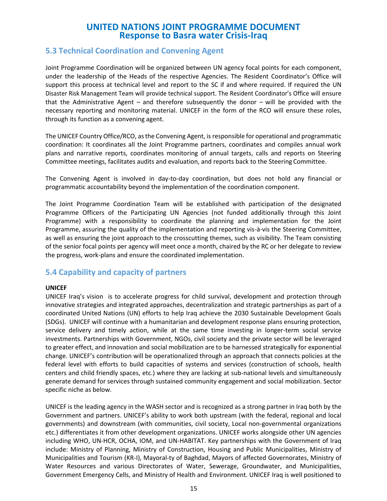#### **5.3 Technical Coordination and Convening Agent**

Joint Programme Coordination will be organized between UN agency focal points for each component, under the leadership of the Heads of the respective Agencies. The Resident Coordinator's Office will support this process at technical level and report to the SC if and where required. If required the UN Disaster Risk Management Team will provide technical support. The Resident Coordinator's Office will ensure that the Administrative Agent – and therefore subsequently the donor – will be provided with the necessary reporting and monitoring material. UNICEF in the form of the RCO will ensure these roles, through its function as a convening agent.

The UNICEF Country Office/RCO, as the Convening Agent, is responsible for operational and programmatic coordination: It coordinates all the Joint Programme partners, coordinates and compiles annual work plans and narrative reports, coordinates monitoring of annual targets, calls and reports on Steering Committee meetings, facilitates audits and evaluation, and reports back to the Steering Committee.

The Convening Agent is involved in day-to-day coordination, but does not hold any financial or programmatic accountability beyond the implementation of the coordination component.

The Joint Programme Coordination Team will be established with participation of the designated Programme Officers of the Participating UN Agencies (not funded additionally through this Joint Programme) with a responsibility to coordinate the planning and implementation for the Joint Programme, assuring the quality of the implementation and reporting vis-à-vis the Steering Committee, as well as ensuring the joint approach to the crosscutting themes, such as visibility. The Team consisting of the senior focal points per agency will meet once a month, chaired by the RC or her delegate to review the progress, work-plans and ensure the coordinated implementation.

#### **5.4 Capability and capacity of partners**

#### **UNICEF**

UNICEF Iraq's vision is to accelerate progress for child survival, development and protection through innovative strategies and integrated approaches, decentralization and strategic partnerships as part of a coordinated United Nations (UN) efforts to help Iraq achieve the 2030 Sustainable Development Goals (SDGs). UNICEF will continue with a humanitarian and development response plans ensuring protection, service delivery and timely action, while at the same time investing in longer-term social service investments. Partnerships with Government, NGOs, civil society and the private sector will be leveraged to greater effect, and innovation and social mobilization are to be harnessed strategically for exponential change. UNICEF's contribution will be operationalized through an approach that connects policies at the federal level with efforts to build capacities of systems and services (construction of schools, health centers and child friendly spaces, etc.) where they are lacking at sub-national levels and simultaneously generate demand for services through sustained community engagement and social mobilization. Sector specific niche as below.

UNICEF is the leading agency in the WASH sector and is recognized as a strong partner in Iraq both by the Government and partners. UNICEF's ability to work both upstream (with the federal, regional and local governments) and downstream (with communities, civil society, Local non-governmental organizations etc.) differentiates it from other development organizations. UNICEF works alongside other UN agencies including WHO, UN-HCR, OCHA, IOM, and UN-HABITAT. Key partnerships with the Government of Iraq include: Ministry of Planning, Ministry of Construction, Housing and Public Municipalities, Ministry of Municipalities and Tourism (KR-I), Mayoral-ty of Baghdad, Mayors of affected Governorates, Ministry of Water Resources and various Directorates of Water, Sewerage, Groundwater, and Municipalities, Government Emergency Cells, and Ministry of Health and Environment. UNICEF Iraq is well positioned to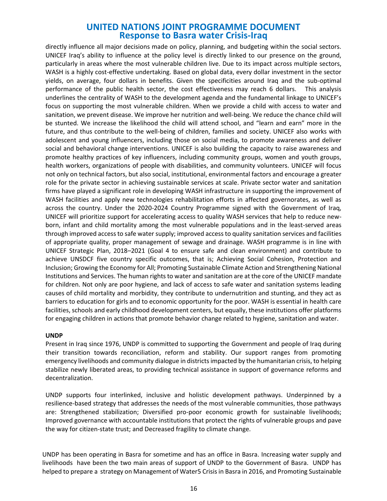directly influence all major decisions made on policy, planning, and budgeting within the social sectors. UNICEF Iraq's ability to influence at the policy level is directly linked to our presence on the ground, particularly in areas where the most vulnerable children live. Due to its impact across multiple sectors, WASH is a highly cost-effective undertaking. Based on global data, every dollar investment in the sector yields, on average, four dollars in benefits. Given the specificities around Iraq and the sub-optimal performance of the public health sector, the cost effectiveness may reach 6 dollars. This analysis underlines the centrality of WASH to the development agenda and the fundamental linkage to UNICEF's focus on supporting the most vulnerable children. When we provide a child with access to water and sanitation, we prevent disease. We improve her nutrition and well-being. We reduce the chance child will be stunted. We increase the likelihood the child will attend school, and "learn and earn" more in the future, and thus contribute to the well-being of children, families and society. UNICEF also works with adolescent and young influencers, including those on social media, to promote awareness and deliver social and behavioral change interventions. UNICEF is also building the capacity to raise awareness and promote healthy practices of key influencers, including community groups, women and youth groups, health workers, organizations of people with disabilities, and community volunteers. UNICEF will focus not only on technical factors, but also social, institutional, environmental factors and encourage a greater role for the private sector in achieving sustainable services at scale. Private sector water and sanitation firms have played a significant role in developing WASH infrastructure in supporting the improvement of WASH facilities and apply new technologies rehabilitation efforts in affected governorates, as well as across the country. Under the 2020-2024 Country Programme signed with the Government of Iraq, UNICEF will prioritize support for accelerating access to quality WASH services that help to reduce newborn, infant and child mortality among the most vulnerable populations and in the least-served areas through improved access to safe water supply; improved access to quality sanitation services and facilities of appropriate quality, proper management of sewage and drainage. WASH programme is in line with UNICEF Strategic Plan, 2018–2021 (Goal 4 to ensure safe and clean environment) and contribute to achieve UNSDCF five country specific outcomes, that is; Achieving Social Cohesion, Protection and Inclusion; Growing the Economy for All; Promoting Sustainable Climate Action and Strengthening National Institutions and Services. The human rights to water and sanitation are at the core of the UNICEF mandate for children. Not only are poor hygiene, and lack of access to safe water and sanitation systems leading causes of child mortality and morbidity, they contribute to undernutrition and stunting, and they act as barriers to education for girls and to economic opportunity for the poor. WASH is essential in health care facilities, schools and early childhood development centers, but equally, these institutions offer platforms for engaging children in actions that promote behavior change related to hygiene, sanitation and water.

#### **UNDP**

Present in Iraq since 1976, UNDP is committed to supporting the Government and people of Iraq during their transition towards reconciliation, reform and stability. Our support ranges from promoting emergency livelihoods and community dialogue in districts impacted by the humanitarian crisis, to helping stabilize newly liberated areas, to providing technical assistance in support of governance reforms and decentralization.

UNDP supports four interlinked, inclusive and holistic development pathways. Underpinned by a resilience-based strategy that addresses the needs of the most vulnerable communities, those pathways are: Strengthened stabilization; Diversified pro-poor economic growth for sustainable livelihoods; Improved governance with accountable institutions that protect the rights of vulnerable groups and pave the way for citizen-state trust; and Decreased fragility to climate change.

UNDP has been operating in Basra for sometime and has an office in Basra. Increasing water supply and livelihoods have been the two main areas of support of UNDP to the Government of Basra. UNDP has helped to prepare a strategy on Management of Water5 Crisis in Basra in 2016, and Promoting Sustainable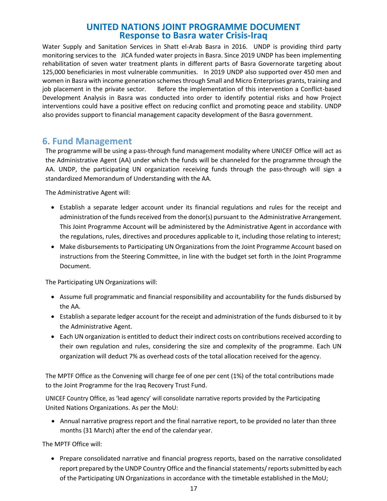Water Supply and Sanitation Services in Shatt el-Arab Basra in 2016. UNDP is providing third party monitoring services to the JICA funded water projects in Basra. Since 2019 UNDP has been implementing rehabilitation of seven water treatment plants in different parts of Basra Governorate targeting about 125,000 beneficiaries in most vulnerable communities. In 2019 UNDP also supported over 450 men and women in Basra with income generation schemes through Small and Micro Enterprises grants, training and job placement in the private sector. Before the implementation of this intervention a Conflict-based Development Analysis in Basra was conducted into order to identify potential risks and how Project interventions could have a positive effect on reducing conflict and promoting peace and stability. UNDP also provides support to financial management capacity development of the Basra government.

### **6. Fund Management**

The programme will be using a pass-through fund management modality where UNICEF Office will act as the Administrative Agent (AA) under which the funds will be channeled for the programme through the AA. UNDP, the participating UN organization receiving funds through the pass-through will sign a standardized Memorandum of Understanding with the AA.

The Administrative Agent will:

- Establish a separate ledger account under its financial regulations and rules for the receipt and administration of the funds received from the donor(s) pursuant to the Administrative Arrangement. This Joint Programme Account will be administered by the Administrative Agent in accordance with the regulations, rules, directives and procedures applicable to it, including those relating to interest;
- Make disbursements to Participating UN Organizations from the Joint Programme Account based on instructions from the Steering Committee, in line with the budget set forth in the Joint Programme Document.

The Participating UN Organizations will:

- Assume full programmatic and financial responsibility and accountability for the funds disbursed by the AA.
- Establish a separate ledger account for the receipt and administration of the funds disbursed to it by the Administrative Agent.
- Each UN organization is entitled to deduct their indirect costs on contributions received according to their own regulation and rules, considering the size and complexity of the programme. Each UN organization will deduct 7% as overhead costs of the total allocation received for the agency.

The MPTF Office as the Convening will charge fee of one per cent (1%) of the total contributions made to the Joint Programme for the Iraq Recovery Trust Fund.

UNICEF Country Office, as 'lead agency' will consolidate narrative reports provided by the Participating United Nations Organizations. As per the MoU:

• Annual narrative progress report and the final narrative report, to be provided no later than three months (31 March) after the end of the calendar year.

The MPTF Office will:

• Prepare consolidated narrative and financial progress reports, based on the narrative consolidated report prepared by the UNDP Country Office and the financial statements/ reports submitted by each of the Participating UN Organizations in accordance with the timetable established in the MoU;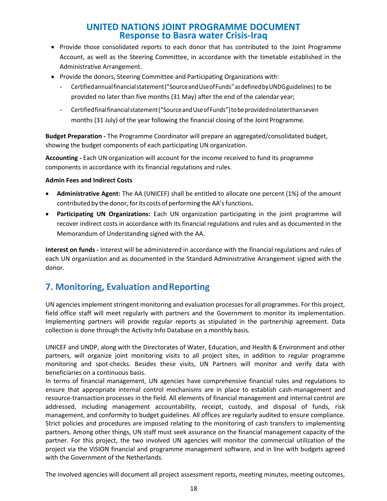- Provide those consolidated reports to each donor that has contributed to the Joint Programme Account, as well as the Steering Committee, in accordance with the timetable established in the Administrative Arrangement.
- Provide the donors, Steering Committee and Participating Organizations with:
	- Certifiedannualfinancialstatement("SourceandUseofFunds"asdefinedbyUNDGguidelines) to be provided no later than five months (31 May) after the end of the calendar year;
	- Certifiedfinalfinancialstatement("SourceandUseofFunds")tobeprovidednolaterthanseven months (31 July) of the year following the financial closing of the Joint Programme.

**Budget Preparation -** The Programme Coordinator will prepare an aggregated/consolidated budget, showing the budget components of each participating UN organization.

**Accounting -** Each UN organization will account for the income received to fund its programme components in accordance with its financial regulations and rules.

#### **Admin Fees and Indirect Costs**

- **Administrative Agent:** The AA (UNICEF) shall be entitled to allocate one percent (1%) of the amount contributed by the donor, for its costs of performing the AA's functions.
- **Participating UN Organizations:** Each UN organization participating in the joint programme will recover indirect costs in accordance with its financial regulations and rules and as documented in the Memorandum of Understanding signed with the AA.

**Interest on funds -** Interest will be administered in accordance with the financial regulations and rules of each UN organization and as documented in the Standard Administrative Arrangement signed with the donor.

## **7. Monitoring, Evaluation and Reporting**

UN agencies implement stringent monitoring and evaluation processes for all programmes. For this project, field office staff will meet regularly with partners and the Government to monitor its implementation. Implementing partners will provide regular reports as stipulated in the partnership agreement. Data collection is done through the Activity Info Database on a monthly basis.

UNICEF and UNDP, along with the Directorates of Water, Education, and Health & Environment and other partners, will organize joint monitoring visits to all project sites, in addition to regular programme monitoring and spot-checks. Besides these visits, UN Partners will monitor and verify data with beneficiaries on a continuous basis.

In terms of financial management, UN agencies have comprehensive financial rules and regulations to ensure that appropriate internal control mechanisms are in place to establish cash-management and resource-transaction processes in the field. All elements of financial management and internal control are addressed, including management accountability, receipt, custody, and disposal of funds, risk management, and conformity to budget guidelines. All offices are regularly audited to ensure compliance. Strict policies and procedures are imposed relating to the monitoring of cash transfers to implementing partners. Among other things, UN staff must seek assurance on the financial management capacity of the partner. For this project, the two involved UN agencies will monitor the commercial utilization of the project via the VISION financial and programme management software, and in line with budgets agreed with the Government of the Netherlands.

The involved agencies will document all project assessment reports, meeting minutes, meeting outcomes,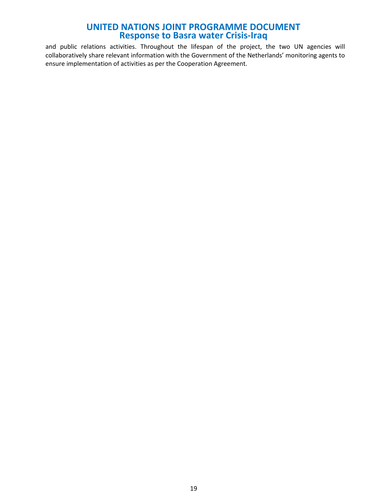and public relations activities. Throughout the lifespan of the project, the two UN agencies will collaboratively share relevant information with the Government of the Netherlands' monitoring agents to ensure implementation of activities as per the Cooperation Agreement.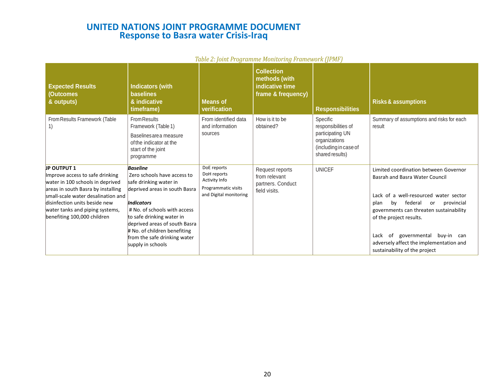|                                                                                                                                                                                                                                                                          |                                                                                                                                                                                                                                                                                                                   |                                                                                              | <u>TUDIC 2. JUNICI TUYFUNING MUNICULITY FEUNDONUM [JI MI J</u><br><b>Collection</b> |                                                                                                                  |                                                                                                                                                                                                                                                                                                                                                          |
|--------------------------------------------------------------------------------------------------------------------------------------------------------------------------------------------------------------------------------------------------------------------------|-------------------------------------------------------------------------------------------------------------------------------------------------------------------------------------------------------------------------------------------------------------------------------------------------------------------|----------------------------------------------------------------------------------------------|-------------------------------------------------------------------------------------|------------------------------------------------------------------------------------------------------------------|----------------------------------------------------------------------------------------------------------------------------------------------------------------------------------------------------------------------------------------------------------------------------------------------------------------------------------------------------------|
| <b>Expected Results</b><br><b>Outcomes</b><br>& outputs)                                                                                                                                                                                                                 | <b>Indicators (with</b><br><b>baselines</b><br>& indicative<br>timeframe)                                                                                                                                                                                                                                         | <b>Means of</b><br>verification                                                              | methods (with<br>indicative time<br>frame & frequency)                              | <b>Responsibilities</b>                                                                                          | <b>Risks &amp; assumptions</b>                                                                                                                                                                                                                                                                                                                           |
| From Results Framework (Table<br>1)                                                                                                                                                                                                                                      | <b>From Results</b><br>Framework (Table 1)<br>Baselines are a measure<br>of the indicator at the<br>start of the joint<br>programme                                                                                                                                                                               | From identified data<br>and information<br>sources                                           | How is it to be<br>obtained?                                                        | Specific<br>responsibilities of<br>participating UN<br>organizations<br>(including in case of<br>shared results) | Summary of assumptions and risks for each<br>result                                                                                                                                                                                                                                                                                                      |
| <b>JP OUTPUT 1</b><br>Improve access to safe drinking<br>water in 100 schools in deprived<br>areas in south Basra by installing<br>small-scale water desalination and<br>disinfection units beside new<br>water tanks and piping systems,<br>benefiting 100,000 children | <b>Baseline</b><br>Zero schools have access to<br>safe drinking water in<br>deprived areas in south Basra<br><b>Indicators</b><br># No. of schools with access<br>to safe drinking water in<br>deprived areas of south Basra<br># No. of children benefiting<br>from the safe drinking water<br>supply in schools | DoE reports<br>DoH reports<br>Activity Info<br>Programmatic visits<br>and Digital monitoring | Request reports<br>from relevant<br>partners. Conduct<br>field visits.              | <b>UNICEF</b>                                                                                                    | Limited coordination between Governor<br>Basrah and Basra Water Council<br>Lack of a well-resourced water sector<br>federal<br>provincial<br>plan<br>bv<br>or<br>governments can threaten sustainability<br>of the project results.<br>of governmental<br>buy-in can<br>Lack<br>adversely affect the implementation and<br>sustainability of the project |

#### *Table 2: Joint Programme Monitoring Framework (JPMF)*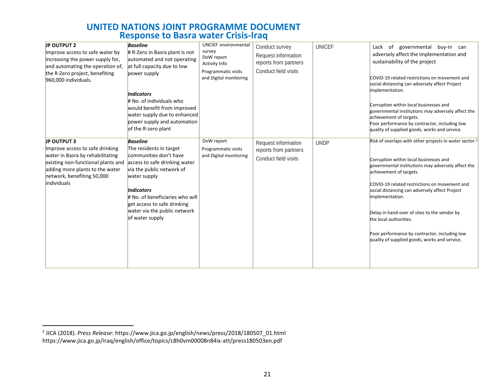| <b>JP OUTPUT 2</b><br>Improve access to safe water by<br>increasing the power supply for,<br>and automating the operation of,<br>the R-Zero project, benefiting<br>960,000 individuals.<br><b>JP OUTPUT 3</b> | <b>Baseline</b><br># R-Zero in Basra plant is not<br>automated and not operating<br>at full capacity due to low<br>power supply<br><b>Indicators</b><br># No. of individuals who<br>would benefit from improved<br>water supply due to enhanced<br>power supply and automation<br>of the R-zero plant<br><b>Baseline</b> | <b>UNCIEF</b> environmental<br>survey<br>DoW report<br>Activity Info<br>Programmatic visits<br>and Digital monitoring<br>DoW report | Conduct survey<br>Request information<br>reports from partners<br>Conduct field visits<br>Request information | <b>UNICEF</b><br><b>UNDP</b> | of governmental buy-in can<br>Lack<br>adversely affect the implementation and<br>sustainability of the project<br>COVID-19 related restrictions on movement and<br>social distancing can adversely affect Project<br>implementation.<br>Corruption within local businesses and<br>governmental institutions may adversely affect the<br>achievement of targets.<br>Poor performance by contractor, including low<br>quality of supplied goods, works and service.<br>Risk of overlaps with other projects in water sector. <sup>2</sup> |
|---------------------------------------------------------------------------------------------------------------------------------------------------------------------------------------------------------------|--------------------------------------------------------------------------------------------------------------------------------------------------------------------------------------------------------------------------------------------------------------------------------------------------------------------------|-------------------------------------------------------------------------------------------------------------------------------------|---------------------------------------------------------------------------------------------------------------|------------------------------|-----------------------------------------------------------------------------------------------------------------------------------------------------------------------------------------------------------------------------------------------------------------------------------------------------------------------------------------------------------------------------------------------------------------------------------------------------------------------------------------------------------------------------------------|
| Improve access to safe drinking<br>water in Basra by rehabilitating<br>existing non-functional plants and<br>adding more plants to the water<br>network, benefiting 50,000<br>individuals                     | The residents in target<br>communities don't have<br>access to safe drinking water<br>via the public network of<br>water supply<br><b>Indicators</b><br># No. of beneficiaries who will<br>get access to safe drinking<br>water via the public network<br>of water supply                                                | Programmatic visits<br>and Digital monitoring                                                                                       | reports from partners<br>Conduct field visits                                                                 |                              | Corruption within local businesses and<br>governmental institutions may adversely affect the<br>achievement of targets.<br>COVID-19 related restrictions on movement and<br>social distancing can adversely affect Project<br>implementation.<br>Delay in hand-over of sites to the vendor by<br>the local authorities.<br>Poor performance by contractor, including low<br>quality of supplied goods, works and service.                                                                                                               |

<sup>2</sup> JICA (2018). *Press Release*: [https://www.jica.go.jp/english/news/press/2018/180507\\_01.html](https://www.jica.go.jp/english/news/press/2018/180507_01.html) <https://www.jica.go.jp/iraq/english/office/topics/c8h0vm00008n84ix-att/press180503en.pdf>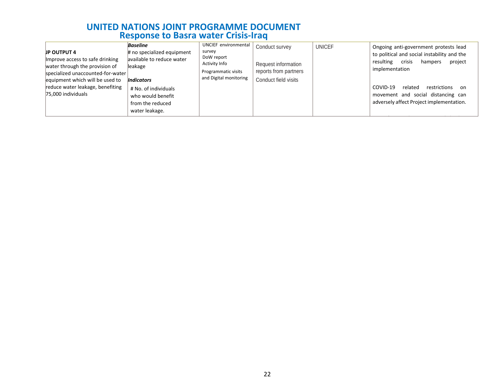| <b>JP OUTPUT 4</b><br>Improve access to safe drinking<br>water through the provision of<br>specialized unaccounted-for-water<br>equipment which will be used to | <b>Baseline</b><br># no specialized equipment<br>available to reduce water<br>leakage<br><b>Indicators</b> | UNCIEF environmental<br>survey<br>DoW report<br><b>Activity Info</b><br>Programmatic visits<br>and Digital monitoring | Conduct survey<br>Request information<br>reports from partners<br>Conduct field visits | <b>UNICEF</b> | Ongoing anti-government protests lead<br>to political and social instability and the<br>resulting<br>crisis<br>project<br>hampers<br>implementation |  |  |  |  |  |  |
|-----------------------------------------------------------------------------------------------------------------------------------------------------------------|------------------------------------------------------------------------------------------------------------|-----------------------------------------------------------------------------------------------------------------------|----------------------------------------------------------------------------------------|---------------|-----------------------------------------------------------------------------------------------------------------------------------------------------|--|--|--|--|--|--|
| reduce water leakage, benefiting<br>75,000 individuals                                                                                                          | # No. of individuals<br>who would benefit<br>from the reduced<br>water leakage.                            |                                                                                                                       |                                                                                        |               | COVID-19<br>restrictions<br>related<br>-on<br>movement and social distancing can<br>adversely affect Project implementation.                        |  |  |  |  |  |  |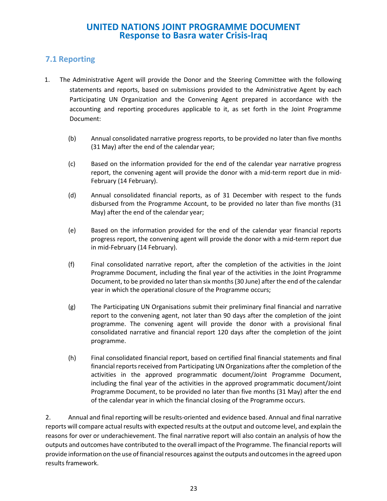### **7.1 Reporting**

- 1. The Administrative Agent will provide the Donor and the Steering Committee with the following statements and reports, based on submissions provided to the Administrative Agent by each Participating UN Organization and the Convening Agent prepared in accordance with the accounting and reporting procedures applicable to it, as set forth in the Joint Programme Document:
	- (b) Annual consolidated narrative progress reports, to be provided no later than five months (31 May) after the end of the calendar year;
	- (c) Based on the information provided for the end of the calendar year narrative progress report, the convening agent will provide the donor with a mid-term report due in mid-February (14 February).
	- (d) Annual consolidated financial reports, as of 31 December with respect to the funds disbursed from the Programme Account, to be provided no later than five months (31 May) after the end of the calendar year;
	- (e) Based on the information provided for the end of the calendar year financial reports progress report, the convening agent will provide the donor with a mid-term report due in mid-February (14 February).
	- (f) Final consolidated narrative report, after the completion of the activities in the Joint Programme Document, including the final year of the activities in the Joint Programme Document, to be provided no later than six months(30 June) after the end of the calendar year in which the operational closure of the Programme occurs;
	- (g) The Participating UN Organisations submit their preliminary final financial and narrative report to the convening agent, not later than 90 days after the completion of the joint programme. The convening agent will provide the donor with a provisional final consolidated narrative and financial report 120 days after the completion of the joint programme.
	- (h) Final consolidated financial report, based on certified final financial statements and final financial reports received from Participating UN Organizations after the completion of the activities in the approved programmatic document/Joint Programme Document, including the final year of the activities in the approved programmatic document/Joint Programme Document, to be provided no later than five months (31 May) after the end of the calendar year in which the financial closing of the Programme occurs.

2. Annual and final reporting will be results-oriented and evidence based. Annual and final narrative reports will compare actual results with expected results at the output and outcome level, and explain the reasons for over or underachievement. The final narrative report will also contain an analysis of how the outputs and outcomes have contributed to the overall impact of the Programme. The financial reports will provide information on the use of financial resources against the outputs and outcomes in the agreed upon results framework.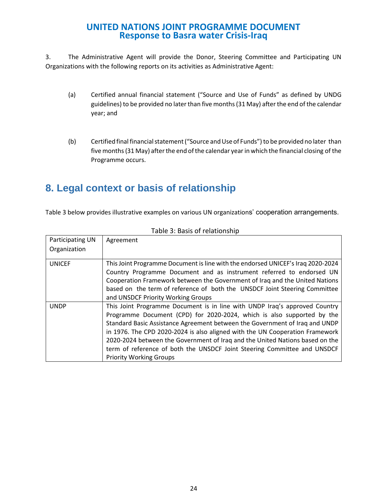3. The Administrative Agent will provide the Donor, Steering Committee and Participating UN Organizations with the following reports on its activities as Administrative Agent:

- (a) Certified annual financial statement ("Source and Use of Funds" as defined by UNDG guidelines) to be provided no later than five months (31 May) after the end of the calendar year; and
- (b) Certified final financial statement ("Source and Use of Funds") to be provided no later than five months (31 May) after the end of the calendar year in which the financial closing of the Programme occurs.

# **8. Legal context or basis of relationship**

Table 3 below provides illustrative examples on various UN organizations' cooperation arrangements.

| Participating UN | Agreement                                                                                                                                                                                                                                                                                                                                                                                                                                                                                                         |
|------------------|-------------------------------------------------------------------------------------------------------------------------------------------------------------------------------------------------------------------------------------------------------------------------------------------------------------------------------------------------------------------------------------------------------------------------------------------------------------------------------------------------------------------|
| Organization     |                                                                                                                                                                                                                                                                                                                                                                                                                                                                                                                   |
| <b>UNICEF</b>    | This Joint Programme Document is line with the endorsed UNICEF's Iraq 2020-2024<br>Country Programme Document and as instrument referred to endorsed UN<br>Cooperation Framework between the Government of Iraq and the United Nations<br>based on the term of reference of both the UNSDCF Joint Steering Committee<br>and UNSDCF Priority Working Groups                                                                                                                                                        |
| <b>UNDP</b>      | This Joint Programme Document is in line with UNDP Iraq's approved Country<br>Programme Document (CPD) for 2020-2024, which is also supported by the<br>Standard Basic Assistance Agreement between the Government of Iraq and UNDP<br>in 1976. The CPD 2020-2024 is also aligned with the UN Cooperation Framework<br>2020-2024 between the Government of Iraq and the United Nations based on the<br>term of reference of both the UNSDCF Joint Steering Committee and UNSDCF<br><b>Priority Working Groups</b> |

Table 3: Basis of relationship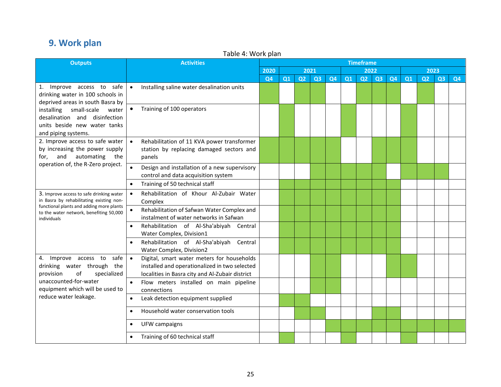# **9. Work plan**

| <b>Outputs</b>                                                                                                                                                                             | Table 4. WOLN platt<br><b>Activities</b>                                                                                                                    | <b>Timeframe</b> |                |                |                |           |                |    |    |           |    |                |                |                |
|--------------------------------------------------------------------------------------------------------------------------------------------------------------------------------------------|-------------------------------------------------------------------------------------------------------------------------------------------------------------|------------------|----------------|----------------|----------------|-----------|----------------|----|----|-----------|----|----------------|----------------|----------------|
|                                                                                                                                                                                            |                                                                                                                                                             | 2020             | 2021<br>2022   |                |                |           |                |    |    | 2023      |    |                |                |                |
|                                                                                                                                                                                            |                                                                                                                                                             | <b>Q4</b>        | Q <sub>1</sub> | Q <sub>2</sub> | Q <sub>3</sub> | <b>Q4</b> | Q <sub>1</sub> | Q2 | Q3 | <b>Q4</b> | Q1 | Q <sub>2</sub> | Q <sub>3</sub> | Q <sub>4</sub> |
| 1. Improve access to safe<br>drinking water in 100 schools in<br>deprived areas in south Basra by                                                                                          | Installing saline water desalination units<br>$\bullet$                                                                                                     |                  |                |                |                |           |                |    |    |           |    |                |                |                |
| small-scale<br>installing<br>water<br>desalination and disinfection<br>units beside new water tanks<br>and piping systems.<br>and automating<br>for,<br>operation of, the R-Zero project.  | Training of 100 operators<br>$\bullet$                                                                                                                      |                  |                |                |                |           |                |    |    |           |    |                |                |                |
| 2. Improve access to safe water<br>by increasing the power supply<br>the                                                                                                                   | Rehabilitation of 11 KVA power transformer<br>$\bullet$<br>station by replacing damaged sectors and<br>panels                                               |                  |                |                |                |           |                |    |    |           |    |                |                |                |
|                                                                                                                                                                                            | Design and installation of a new supervisory<br>control and data acquisition system                                                                         |                  |                |                |                |           |                |    |    |           |    |                |                |                |
|                                                                                                                                                                                            | Training of 50 technical staff<br>$\bullet$                                                                                                                 |                  |                |                |                |           |                |    |    |           |    |                |                |                |
| 3. Improve access to safe drinking water<br>in Basra by rehabilitating existing non-<br>functional plants and adding more plants<br>to the water network, benefiting 50,000<br>individuals | Rehabilitation of Khour Al-Zubair Water<br>$\bullet$<br>Complex                                                                                             |                  |                |                |                |           |                |    |    |           |    |                |                |                |
|                                                                                                                                                                                            | Rehabilitation of Safwan Water Complex and<br>$\bullet$<br>instalment of water networks in Safwan                                                           |                  |                |                |                |           |                |    |    |           |    |                |                |                |
|                                                                                                                                                                                            | Rehabilitation of Al-Sha'abiyah Central<br>$\bullet$<br>Water Complex, Division1                                                                            |                  |                |                |                |           |                |    |    |           |    |                |                |                |
|                                                                                                                                                                                            | Rehabilitation of Al-Sha'abiyah Central<br>$\bullet$<br>Water Complex, Division2                                                                            |                  |                |                |                |           |                |    |    |           |    |                |                |                |
| Improve access to<br>safe<br>4.<br>drinking water through the<br>of<br>specialized<br>provision                                                                                            | Digital, smart water meters for households<br>$\bullet$<br>installed and operationalized in two selected<br>localities in Basra city and Al-Zubair district |                  |                |                |                |           |                |    |    |           |    |                |                |                |
| unaccounted-for-water<br>equipment which will be used to                                                                                                                                   | Flow meters installed on main pipeline<br>$\bullet$<br>connections                                                                                          |                  |                |                |                |           |                |    |    |           |    |                |                |                |
| reduce water leakage.                                                                                                                                                                      | Leak detection equipment supplied<br>$\bullet$                                                                                                              |                  |                |                |                |           |                |    |    |           |    |                |                |                |
|                                                                                                                                                                                            | Household water conservation tools<br>$\bullet$                                                                                                             |                  |                |                |                |           |                |    |    |           |    |                |                |                |
|                                                                                                                                                                                            | UFW campaigns<br>$\bullet$                                                                                                                                  |                  |                |                |                |           |                |    |    |           |    |                |                |                |
|                                                                                                                                                                                            | Training of 60 technical staff                                                                                                                              |                  |                |                |                |           |                |    |    |           |    |                |                |                |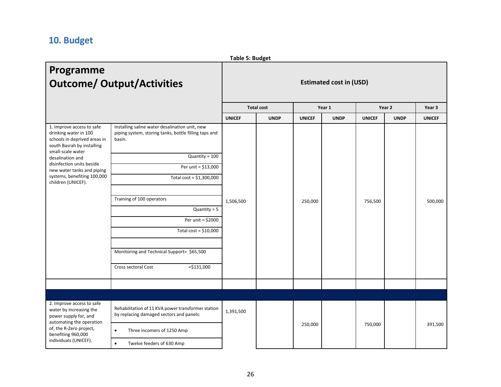# **10. Budget**

|                                                                                                                                                                                     |                                                                                                                   | <b>Table 5: Budget</b>         |                   |               |             |               |             |               |
|-------------------------------------------------------------------------------------------------------------------------------------------------------------------------------------|-------------------------------------------------------------------------------------------------------------------|--------------------------------|-------------------|---------------|-------------|---------------|-------------|---------------|
| Programme<br><b>Outcome/ Output/Activities</b>                                                                                                                                      |                                                                                                                   | <b>Estimated cost in (USD)</b> |                   |               |             |               |             |               |
|                                                                                                                                                                                     |                                                                                                                   |                                | <b>Total cost</b> |               | Year 1      |               | Year 2      | Year 3        |
|                                                                                                                                                                                     |                                                                                                                   | <b>UNICEF</b>                  | <b>UNDP</b>       | <b>UNICEF</b> | <b>UNDP</b> | <b>UNICEF</b> | <b>UNDP</b> | <b>UNICEF</b> |
| 1. Improve access to safe<br>drinking water in 100<br>schools in deprived areas in<br>south Basrah by installing<br>small-scale water                                               | Installing saline water desalination unit, new<br>piping system, storing tanks, bottle filling taps and<br>basin. |                                |                   | 250,000       |             |               |             |               |
| desalination and<br>disinfection units beside                                                                                                                                       | $Quantity = 100$<br>Per unit = \$13,000                                                                           | 1,506,500                      |                   |               |             |               |             |               |
| new water tanks and piping<br>systems, benefiting 100,000<br>children (UNICEF).                                                                                                     | Total cost = $$1,300,000$                                                                                         |                                |                   |               |             |               |             |               |
|                                                                                                                                                                                     |                                                                                                                   |                                |                   |               |             |               |             |               |
|                                                                                                                                                                                     | Training of 100 operators                                                                                         |                                |                   |               |             | 756,500       |             | 500,000       |
|                                                                                                                                                                                     | $Quantity = 5$                                                                                                    |                                |                   |               |             |               |             |               |
|                                                                                                                                                                                     | Per unit = \$2000                                                                                                 |                                |                   |               |             |               |             |               |
|                                                                                                                                                                                     | Total cost = $$10,000$                                                                                            |                                |                   |               |             |               |             |               |
|                                                                                                                                                                                     | Monitoring and Technical Support= \$65,500                                                                        |                                |                   |               |             |               |             |               |
|                                                                                                                                                                                     | Cross sectoral Cost<br>$= $131,000$                                                                               |                                |                   |               |             |               |             |               |
|                                                                                                                                                                                     |                                                                                                                   |                                |                   |               |             |               |             |               |
|                                                                                                                                                                                     |                                                                                                                   |                                |                   |               |             |               |             |               |
| 2. Improve access to safe<br>water by increasing the<br>power supply for, and<br>automating the operation<br>of, the R-Zero project,<br>benefiting 960,000<br>individuals (UNICEF). | Rehabilitation of 11 KVA power transformer station<br>by replacing damaged sectors and panels:                    | 1,391,500                      |                   |               |             | 750,000       |             | 391,500       |
|                                                                                                                                                                                     | Three incomers of 1250 Amp<br>$\bullet$                                                                           |                                |                   | 250,000       |             |               |             |               |
|                                                                                                                                                                                     | Twelve feeders of 630 Amp<br>$\bullet$                                                                            |                                |                   |               |             |               |             |               |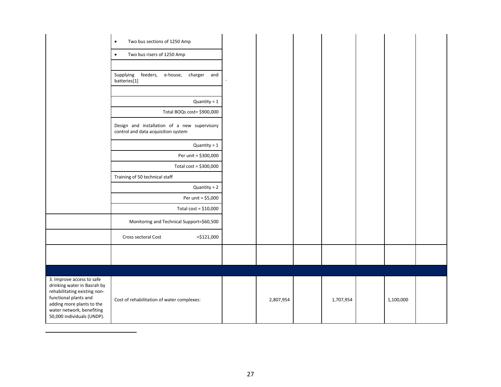|                                                                                                                                                                                                           | Two bus sections of 1250 Amp<br>$\bullet$                                           |           |           |           |  |
|-----------------------------------------------------------------------------------------------------------------------------------------------------------------------------------------------------------|-------------------------------------------------------------------------------------|-----------|-----------|-----------|--|
|                                                                                                                                                                                                           | Two bus risers of 1250 Amp<br>$\bullet$                                             |           |           |           |  |
|                                                                                                                                                                                                           |                                                                                     |           |           |           |  |
|                                                                                                                                                                                                           | feeders,<br>Supplying<br>e-house, charger and<br>batteries[1]                       |           |           |           |  |
|                                                                                                                                                                                                           | Quantity = $1$                                                                      |           |           |           |  |
|                                                                                                                                                                                                           |                                                                                     |           |           |           |  |
|                                                                                                                                                                                                           | Total BOQs cost= \$900,000                                                          |           |           |           |  |
|                                                                                                                                                                                                           | Design and installation of a new supervisory<br>control and data acquisition system |           |           |           |  |
|                                                                                                                                                                                                           | $Quantity = 1$                                                                      |           |           |           |  |
|                                                                                                                                                                                                           | Per unit = \$300,000                                                                |           |           |           |  |
|                                                                                                                                                                                                           | Total cost = \$300,000                                                              |           |           |           |  |
|                                                                                                                                                                                                           | Training of 50 technical staff                                                      |           |           |           |  |
|                                                                                                                                                                                                           | $Quantity = 2$                                                                      |           |           |           |  |
|                                                                                                                                                                                                           | Per unit = \$5,000                                                                  |           |           |           |  |
|                                                                                                                                                                                                           | Total cost = $$10,000$                                                              |           |           |           |  |
|                                                                                                                                                                                                           | Monitoring and Technical Support=\$60,500                                           |           |           |           |  |
|                                                                                                                                                                                                           | $= $121,000$<br>Cross sectoral Cost                                                 |           |           |           |  |
|                                                                                                                                                                                                           |                                                                                     |           |           |           |  |
|                                                                                                                                                                                                           |                                                                                     |           |           |           |  |
|                                                                                                                                                                                                           |                                                                                     |           |           |           |  |
| 3. Improve access to safe<br>drinking water in Basrah by<br>rehabilitating existing non-<br>functional plants and<br>adding more plants to the<br>water network, benefiting<br>50,000 individuals (UNDP). | Cost of rehabilitation of water complexes:                                          | 2,807,954 | 1,707,954 | 1,100,000 |  |
|                                                                                                                                                                                                           |                                                                                     |           |           |           |  |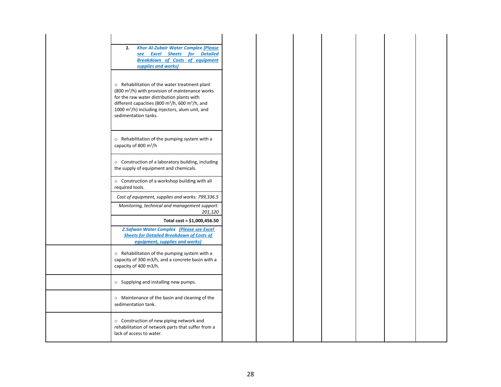| <b>Khor Al-Zubair Water Complex (Please</b><br>1.                                                                                                                                                                                                                                                               |
|-----------------------------------------------------------------------------------------------------------------------------------------------------------------------------------------------------------------------------------------------------------------------------------------------------------------|
| see Excel Sheets for Detailed<br><b>Breakdown of Costs of equipment</b>                                                                                                                                                                                                                                         |
| supplies and works)                                                                                                                                                                                                                                                                                             |
|                                                                                                                                                                                                                                                                                                                 |
| $\circ$ Rehabilitation of the water treatment plant<br>$(800 \text{ m}^3/\text{h})$ with provision of maintenance works<br>for the raw water distribution plants with<br>different capacities (800 m <sup>3</sup> /h, 600 m <sup>3</sup> /h, and<br>1000 m <sup>3</sup> /h) including injectors, alum unit, and |
| sedimentation tanks.                                                                                                                                                                                                                                                                                            |
| o Rehabilitation of the pumping system with a                                                                                                                                                                                                                                                                   |
| capacity of 800 m <sup>3</sup> /h                                                                                                                                                                                                                                                                               |
| ○ Construction of a laboratory building, including<br>the supply of equipment and chemicals.                                                                                                                                                                                                                    |
| o Construction of a workshop building with all<br>required tools.                                                                                                                                                                                                                                               |
| Cost of equipment, supplies and works: 799,336.5                                                                                                                                                                                                                                                                |
| Monitoring, technical and management support:<br>201,120                                                                                                                                                                                                                                                        |
| Total cost = \$1,000,456.50                                                                                                                                                                                                                                                                                     |
| 2.Safwan Water Complex (Please see Excel<br><b>Sheets for Detailed Breakdown of Costs of</b><br>equipment, supplies and works)                                                                                                                                                                                  |
| o Rehabilitation of the pumping system with a<br>capacity of 300 m3/h, and a concrete basin with a<br>capacity of 400 m3/h.                                                                                                                                                                                     |
| o Supplying and installing new pumps.                                                                                                                                                                                                                                                                           |
| o Maintenance of the basin and cleaning of the<br>sedimentation tank.                                                                                                                                                                                                                                           |
| o Construction of new piping network and<br>rehabilitation of network parts that suffer from a<br>lack of access to water.                                                                                                                                                                                      |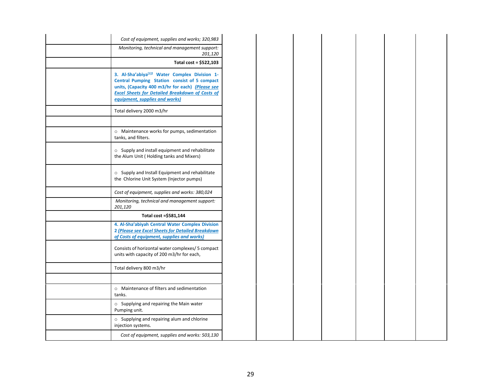| Cost of equipment, supplies and works; 320,983                                                                                                                                                                                                |
|-----------------------------------------------------------------------------------------------------------------------------------------------------------------------------------------------------------------------------------------------|
| Monitoring, technical and management support:<br>201,120                                                                                                                                                                                      |
| Total cost = \$522,103                                                                                                                                                                                                                        |
| 3. Al-Sha'abiya[1]2 Water Complex Division 1-<br>Central Pumping Station consist of 5 compact<br>units, (Capacity 400 m3/hr for each) (Please see<br><b>Excel Sheets for Detailed Breakdown of Costs of</b><br>equipment, supplies and works) |
| Total delivery 2000 m3/hr                                                                                                                                                                                                                     |
| o Maintenance works for pumps, sedimentation<br>tanks, and filters.                                                                                                                                                                           |
| o Supply and install equipment and rehabilitate<br>the Alum Unit (Holding tanks and Mixers)                                                                                                                                                   |
| o Supply and Install Equipment and rehabilitate<br>the Chlorine Unit System (Injector pumps)                                                                                                                                                  |
| Cost of equipment, supplies and works: 380,024                                                                                                                                                                                                |
| Monitoring, technical and management support:<br>201,120                                                                                                                                                                                      |
| Total cost =\$581,144                                                                                                                                                                                                                         |
| 4. Al-Sha'abiyah Central Water Complex Division<br>2 (Please see Excel Sheets for Detailed Breakdown<br>of Costs of equipment, supplies and works)                                                                                            |
| Consists of horizontal water complexes/ 5 compact<br>units with capacity of 200 m3/hr for each,                                                                                                                                               |
| Total delivery 800 m3/hr                                                                                                                                                                                                                      |
| $\circ$ Maintenance of filters and sedimentation<br>tanks.                                                                                                                                                                                    |
| o Supplying and repairing the Main water<br>Pumping unit.                                                                                                                                                                                     |
| $\circ$ Supplying and repairing alum and chlorine<br>injection systems.                                                                                                                                                                       |
| Cost of equipment, supplies and works: 503,130                                                                                                                                                                                                |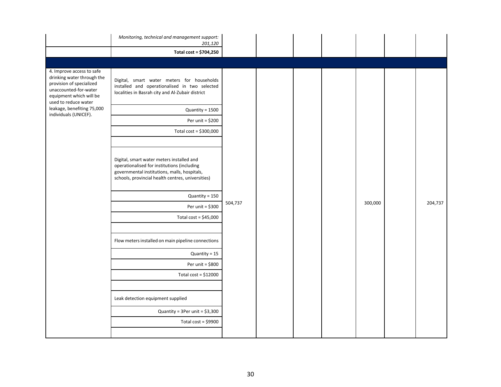|                                                                                                                                                                 | Monitoring, technical and management support:<br>201,120                                                                                                                                      |         |  |         |         |
|-----------------------------------------------------------------------------------------------------------------------------------------------------------------|-----------------------------------------------------------------------------------------------------------------------------------------------------------------------------------------------|---------|--|---------|---------|
|                                                                                                                                                                 | Total cost = \$704,250                                                                                                                                                                        |         |  |         |         |
|                                                                                                                                                                 |                                                                                                                                                                                               |         |  |         |         |
| 4. Improve access to safe<br>drinking water through the<br>provision of specialized<br>unaccounted-for-water<br>equipment which will be<br>used to reduce water | Digital, smart water meters for households<br>installed and operationalised in two selected<br>localities in Basrah city and Al-Zubair district                                               |         |  |         |         |
| leakage, benefiting 75,000<br>individuals (UNICEF).                                                                                                             | Quantity = 1500                                                                                                                                                                               |         |  |         |         |
|                                                                                                                                                                 | Per unit = \$200                                                                                                                                                                              |         |  |         |         |
|                                                                                                                                                                 | Total cost = \$300,000                                                                                                                                                                        |         |  |         |         |
|                                                                                                                                                                 |                                                                                                                                                                                               |         |  |         |         |
|                                                                                                                                                                 | Digital, smart water meters installed and<br>operationalised for institutions (including<br>governmental institutions, malls, hospitals,<br>schools, provincial health centres, universities) |         |  |         |         |
|                                                                                                                                                                 | Quantity = 150                                                                                                                                                                                |         |  |         |         |
|                                                                                                                                                                 | Per unit = $$300$                                                                                                                                                                             | 504,737 |  | 300,000 | 204,737 |
|                                                                                                                                                                 | Total cost = $$45,000$                                                                                                                                                                        |         |  |         |         |
|                                                                                                                                                                 |                                                                                                                                                                                               |         |  |         |         |
|                                                                                                                                                                 | Flow meters installed on main pipeline connections                                                                                                                                            |         |  |         |         |
|                                                                                                                                                                 | Quantity = 15                                                                                                                                                                                 |         |  |         |         |
|                                                                                                                                                                 | Per unit = \$800                                                                                                                                                                              |         |  |         |         |
|                                                                                                                                                                 | Total cost = $$12000$                                                                                                                                                                         |         |  |         |         |
|                                                                                                                                                                 |                                                                                                                                                                                               |         |  |         |         |
|                                                                                                                                                                 | Leak detection equipment supplied                                                                                                                                                             |         |  |         |         |
|                                                                                                                                                                 | Quantity = $3Per$ unit = $$3,300$                                                                                                                                                             |         |  |         |         |
|                                                                                                                                                                 | Total cost = $$9900$                                                                                                                                                                          |         |  |         |         |
|                                                                                                                                                                 |                                                                                                                                                                                               |         |  |         |         |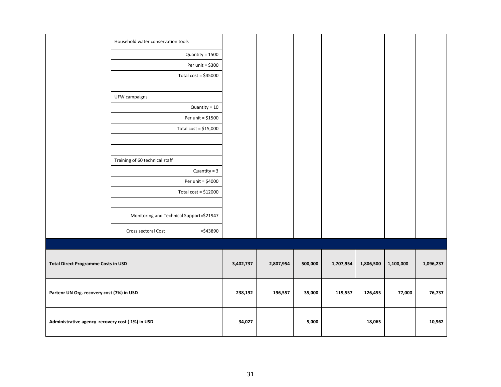|                                                 | Household water conservation tools               |           |           |         |           |           |           |           |
|-------------------------------------------------|--------------------------------------------------|-----------|-----------|---------|-----------|-----------|-----------|-----------|
|                                                 | $Quantity = 1500$                                |           |           |         |           |           |           |           |
|                                                 | Per unit = \$300                                 |           |           |         |           |           |           |           |
|                                                 | Total cost = $$45000$                            |           |           |         |           |           |           |           |
|                                                 | UFW campaigns                                    |           |           |         |           |           |           |           |
|                                                 | Quantity = 10                                    |           |           |         |           |           |           |           |
|                                                 | Per unit = \$1500                                |           |           |         |           |           |           |           |
|                                                 | Total cost = $$15,000$                           |           |           |         |           |           |           |           |
|                                                 |                                                  |           |           |         |           |           |           |           |
|                                                 |                                                  |           |           |         |           |           |           |           |
|                                                 | Training of 60 technical staff<br>$Quantity = 3$ |           |           |         |           |           |           |           |
|                                                 | Per unit = \$4000                                |           |           |         |           |           |           |           |
|                                                 | Total cost = $$12000$                            |           |           |         |           |           |           |           |
|                                                 |                                                  |           |           |         |           |           |           |           |
|                                                 | Monitoring and Technical Support=\$21947         |           |           |         |           |           |           |           |
|                                                 | $= $43890$<br>Cross sectoral Cost                |           |           |         |           |           |           |           |
|                                                 |                                                  |           |           |         |           |           |           |           |
| <b>Total Direct Programme Costs in USD</b>      |                                                  | 3,402,737 | 2,807,954 | 500,000 | 1,707,954 | 1,806,500 | 1,100,000 | 1,096,237 |
| Partenr UN Org. recovery cost (7%) in USD       |                                                  | 238,192   | 196,557   | 35,000  | 119,557   | 126,455   | 77,000    | 76,737    |
| Administrative agency recovery cost (1%) in USD |                                                  | 34,027    |           | 5,000   |           | 18,065    |           | 10,962    |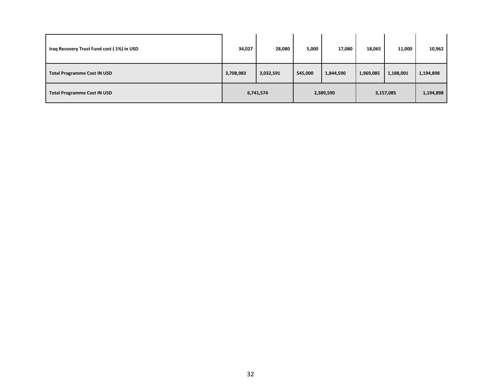| Iraq Recovery Trust Fund cost (1%) in USD | 34,027    | 28,080    | 5,000     | 17,080    | 18,065    | 11,000    | 10,962    |
|-------------------------------------------|-----------|-----------|-----------|-----------|-----------|-----------|-----------|
| <b>Total Programme Cost IN USD</b>        | 3,708,983 | 3,032,591 | 545,000   | 1,844,590 | 1,969,085 | 1,188,001 | 1,194,898 |
| <b>Total Programme Cost IN USD</b>        | 6,741,574 |           | 2,389,590 |           | 3,157,085 |           | 1,194,898 |